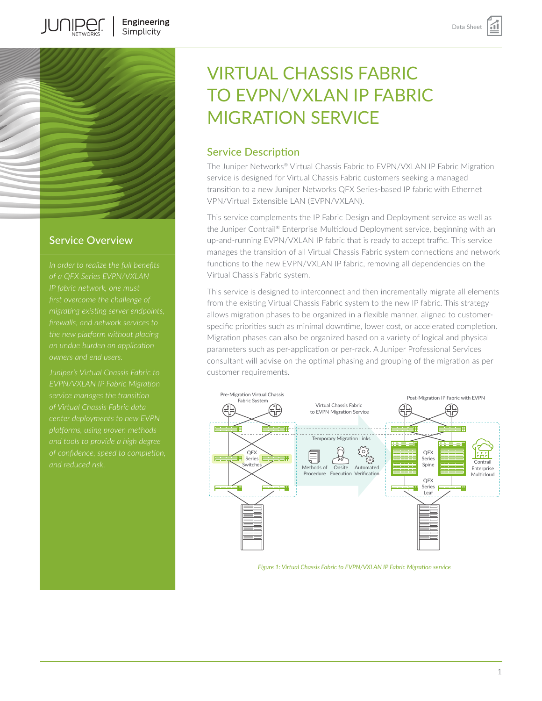

**IUNIPEC** 

# Service Overview

*migrating existing server endpoints,* 

*Juniper's Virtual Chassis Fabric to EVPN/VXLAN IP Fabric Migration platforms, using proven methods* 

# VIRTUAL CHASSIS FABRIC TO EVPN/VXLAN IP FABRIC MIGRATION SERVICE

# Service Description

The Juniper Networks® Virtual Chassis Fabric to EVPN/VXLAN IP Fabric Migration service is designed for Virtual Chassis Fabric customers seeking a managed transition to a new Juniper Networks QFX Series-based IP fabric with Ethernet VPN/Virtual Extensible LAN (EVPN/VXLAN).

This service complements the IP Fabric Design and Deployment service as well as the Juniper Contrail® Enterprise Multicloud Deployment service, beginning with an up-and-running EVPN/VXLAN IP fabric that is ready to accept traffic. This service manages the transition of all Virtual Chassis Fabric system connections and network functions to the new EVPN/VXLAN IP fabric, removing all dependencies on the Virtual Chassis Fabric system.

This service is designed to interconnect and then incrementally migrate all elements from the existing Virtual Chassis Fabric system to the new IP fabric. This strategy allows migration phases to be organized in a flexible manner, aligned to customerspecific priorities such as minimal downtime, lower cost, or accelerated completion. Migration phases can also be organized based on a variety of logical and physical parameters such as per-application or per-rack. A Juniper Professional Services consultant will advise on the optimal phasing and grouping of the migration as per customer requirements.



#### *Figure 1: Virtual Chassis Fabric to EVPN/VXLAN IP Fabric Migration service*